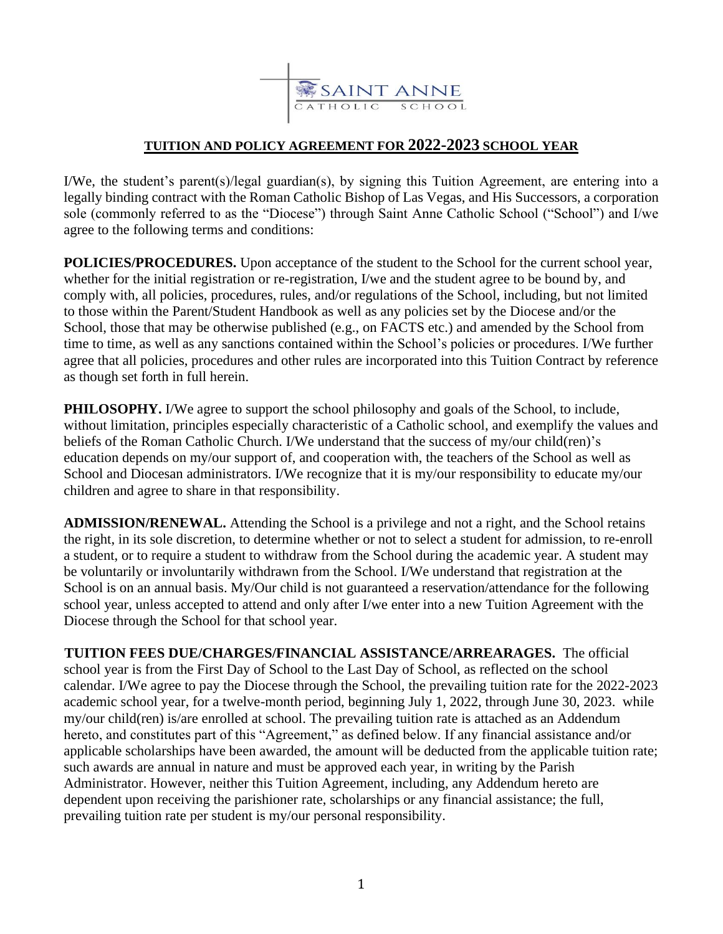

## **TUITION AND POLICY AGREEMENT FOR 2022-2023 SCHOOL YEAR**

I/We, the student's parent(s)/legal guardian(s), by signing this Tuition Agreement, are entering into a legally binding contract with the Roman Catholic Bishop of Las Vegas, and His Successors, a corporation sole (commonly referred to as the "Diocese") through Saint Anne Catholic School ("School") and I/we agree to the following terms and conditions:

**POLICIES/PROCEDURES.** Upon acceptance of the student to the School for the current school year, whether for the initial registration or re-registration, I/we and the student agree to be bound by, and comply with, all policies, procedures, rules, and/or regulations of the School, including, but not limited to those within the Parent/Student Handbook as well as any policies set by the Diocese and/or the School, those that may be otherwise published (e.g., on FACTS etc.) and amended by the School from time to time, as well as any sanctions contained within the School's policies or procedures. I/We further agree that all policies, procedures and other rules are incorporated into this Tuition Contract by reference as though set forth in full herein.

**PHILOSOPHY.** I/We agree to support the school philosophy and goals of the School, to include, without limitation, principles especially characteristic of a Catholic school, and exemplify the values and beliefs of the Roman Catholic Church. I/We understand that the success of my/our child(ren)'s education depends on my/our support of, and cooperation with, the teachers of the School as well as School and Diocesan administrators. I/We recognize that it is my/our responsibility to educate my/our children and agree to share in that responsibility.

**ADMISSION/RENEWAL.** Attending the School is a privilege and not a right, and the School retains the right, in its sole discretion, to determine whether or not to select a student for admission, to re-enroll a student, or to require a student to withdraw from the School during the academic year. A student may be voluntarily or involuntarily withdrawn from the School. I/We understand that registration at the School is on an annual basis. My/Our child is not guaranteed a reservation/attendance for the following school year, unless accepted to attend and only after I/we enter into a new Tuition Agreement with the Diocese through the School for that school year.

 **TUITION FEES DUE/CHARGES/FINANCIAL ASSISTANCE/ARREARAGES.** The official school year is from the First Day of School to the Last Day of School, as reflected on the school calendar. I/We agree to pay the Diocese through the School, the prevailing tuition rate for the 2022-2023 academic school year, for a twelve-month period, beginning July 1, 2022, through June 30, 2023. while my/our child(ren) is/are enrolled at school. The prevailing tuition rate is attached as an Addendum hereto, and constitutes part of this "Agreement," as defined below. If any financial assistance and/or applicable scholarships have been awarded, the amount will be deducted from the applicable tuition rate; such awards are annual in nature and must be approved each year, in writing by the Parish Administrator. However, neither this Tuition Agreement, including, any Addendum hereto are dependent upon receiving the parishioner rate, scholarships or any financial assistance; the full, prevailing tuition rate per student is my/our personal responsibility.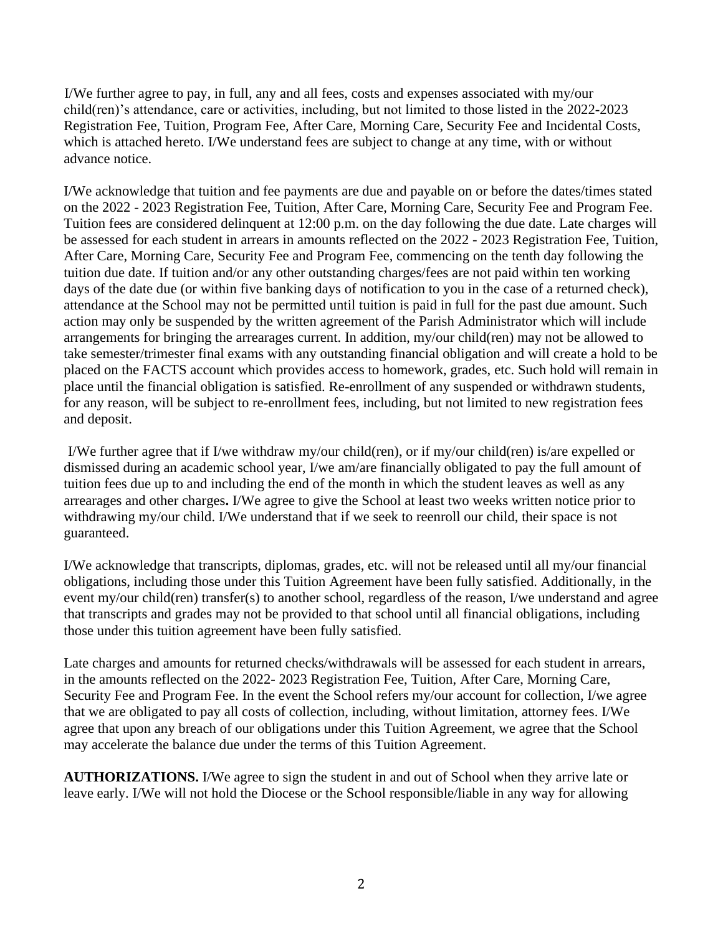I/We further agree to pay, in full, any and all fees, costs and expenses associated with my/our child(ren)'s attendance, care or activities, including, but not limited to those listed in the 2022-2023 Registration Fee, Tuition, Program Fee, After Care, Morning Care, Security Fee and Incidental Costs, which is attached hereto. I/We understand fees are subject to change at any time, with or without advance notice.

I/We acknowledge that tuition and fee payments are due and payable on or before the dates/times stated on the 2022 - 2023 Registration Fee, Tuition, After Care, Morning Care, Security Fee and Program Fee. Tuition fees are considered delinquent at 12:00 p.m. on the day following the due date. Late charges will be assessed for each student in arrears in amounts reflected on the 2022 - 2023 Registration Fee, Tuition, After Care, Morning Care, Security Fee and Program Fee, commencing on the tenth day following the tuition due date. If tuition and/or any other outstanding charges/fees are not paid within ten working days of the date due (or within five banking days of notification to you in the case of a returned check), attendance at the School may not be permitted until tuition is paid in full for the past due amount. Such action may only be suspended by the written agreement of the Parish Administrator which will include arrangements for bringing the arrearages current. In addition, my/our child(ren) may not be allowed to take semester/trimester final exams with any outstanding financial obligation and will create a hold to be placed on the FACTS account which provides access to homework, grades, etc. Such hold will remain in place until the financial obligation is satisfied. Re-enrollment of any suspended or withdrawn students, for any reason, will be subject to re-enrollment fees, including, but not limited to new registration fees and deposit.

 I/We further agree that if I/we withdraw my/our child(ren), or if my/our child(ren) is/are expelled or dismissed during an academic school year, I/we am/are financially obligated to pay the full amount of tuition fees due up to and including the end of the month in which the student leaves as well as any arrearages and other charges**.** I/We agree to give the School at least two weeks written notice prior to withdrawing my/our child. I/We understand that if we seek to reenroll our child, their space is not guaranteed.

I/We acknowledge that transcripts, diplomas, grades, etc. will not be released until all my/our financial obligations, including those under this Tuition Agreement have been fully satisfied. Additionally, in the event my/our child(ren) transfer(s) to another school, regardless of the reason, I/we understand and agree that transcripts and grades may not be provided to that school until all financial obligations, including those under this tuition agreement have been fully satisfied.

Late charges and amounts for returned checks/withdrawals will be assessed for each student in arrears, in the amounts reflected on the 2022- 2023 Registration Fee, Tuition, After Care, Morning Care, Security Fee and Program Fee. In the event the School refers my/our account for collection, I/we agree that we are obligated to pay all costs of collection, including, without limitation, attorney fees. I/We agree that upon any breach of our obligations under this Tuition Agreement, we agree that the School may accelerate the balance due under the terms of this Tuition Agreement.

**AUTHORIZATIONS.** I/We agree to sign the student in and out of School when they arrive late or leave early. I/We will not hold the Diocese or the School responsible/liable in any way for allowing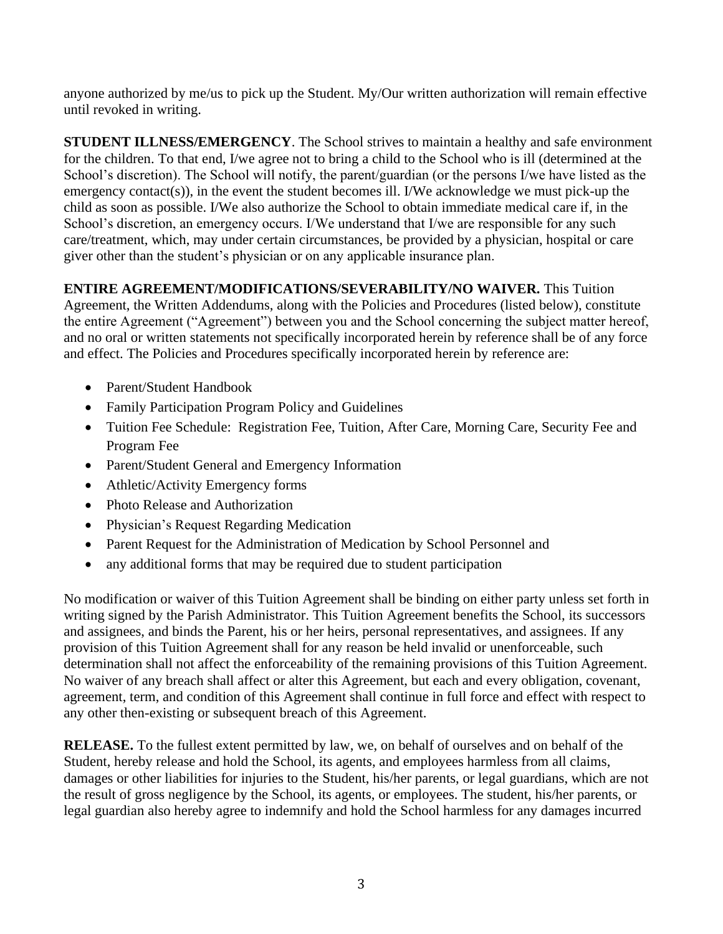anyone authorized by me/us to pick up the Student. My/Our written authorization will remain effective until revoked in writing.

**STUDENT ILLNESS/EMERGENCY**. The School strives to maintain a healthy and safe environment for the children. To that end, I/we agree not to bring a child to the School who is ill (determined at the School's discretion). The School will notify, the parent/guardian (or the persons I/we have listed as the emergency contact(s)), in the event the student becomes ill. I/We acknowledge we must pick-up the child as soon as possible. I/We also authorize the School to obtain immediate medical care if, in the School's discretion, an emergency occurs. I/We understand that I/we are responsible for any such care/treatment, which, may under certain circumstances, be provided by a physician, hospital or care giver other than the student's physician or on any applicable insurance plan.

## **ENTIRE AGREEMENT/MODIFICATIONS/SEVERABILITY/NO WAIVER.** This Tuition

Agreement, the Written Addendums, along with the Policies and Procedures (listed below), constitute the entire Agreement ("Agreement") between you and the School concerning the subject matter hereof, and no oral or written statements not specifically incorporated herein by reference shall be of any force and effect. The Policies and Procedures specifically incorporated herein by reference are:

- Parent/Student Handbook
- Family Participation Program Policy and Guidelines
- Tuition Fee Schedule: Registration Fee, Tuition, After Care, Morning Care, Security Fee and Program Fee
- Parent/Student General and Emergency Information
- Athletic/Activity Emergency forms
- Photo Release and Authorization
- Physician's Request Regarding Medication
- Parent Request for the Administration of Medication by School Personnel and
- any additional forms that may be required due to student participation

No modification or waiver of this Tuition Agreement shall be binding on either party unless set forth in writing signed by the Parish Administrator. This Tuition Agreement benefits the School, its successors and assignees, and binds the Parent, his or her heirs, personal representatives, and assignees. If any provision of this Tuition Agreement shall for any reason be held invalid or unenforceable, such determination shall not affect the enforceability of the remaining provisions of this Tuition Agreement. No waiver of any breach shall affect or alter this Agreement, but each and every obligation, covenant, agreement, term, and condition of this Agreement shall continue in full force and effect with respect to any other then-existing or subsequent breach of this Agreement.

**RELEASE.** To the fullest extent permitted by law, we, on behalf of ourselves and on behalf of the Student, hereby release and hold the School, its agents, and employees harmless from all claims, damages or other liabilities for injuries to the Student, his/her parents, or legal guardians, which are not the result of gross negligence by the School, its agents, or employees. The student, his/her parents, or legal guardian also hereby agree to indemnify and hold the School harmless for any damages incurred